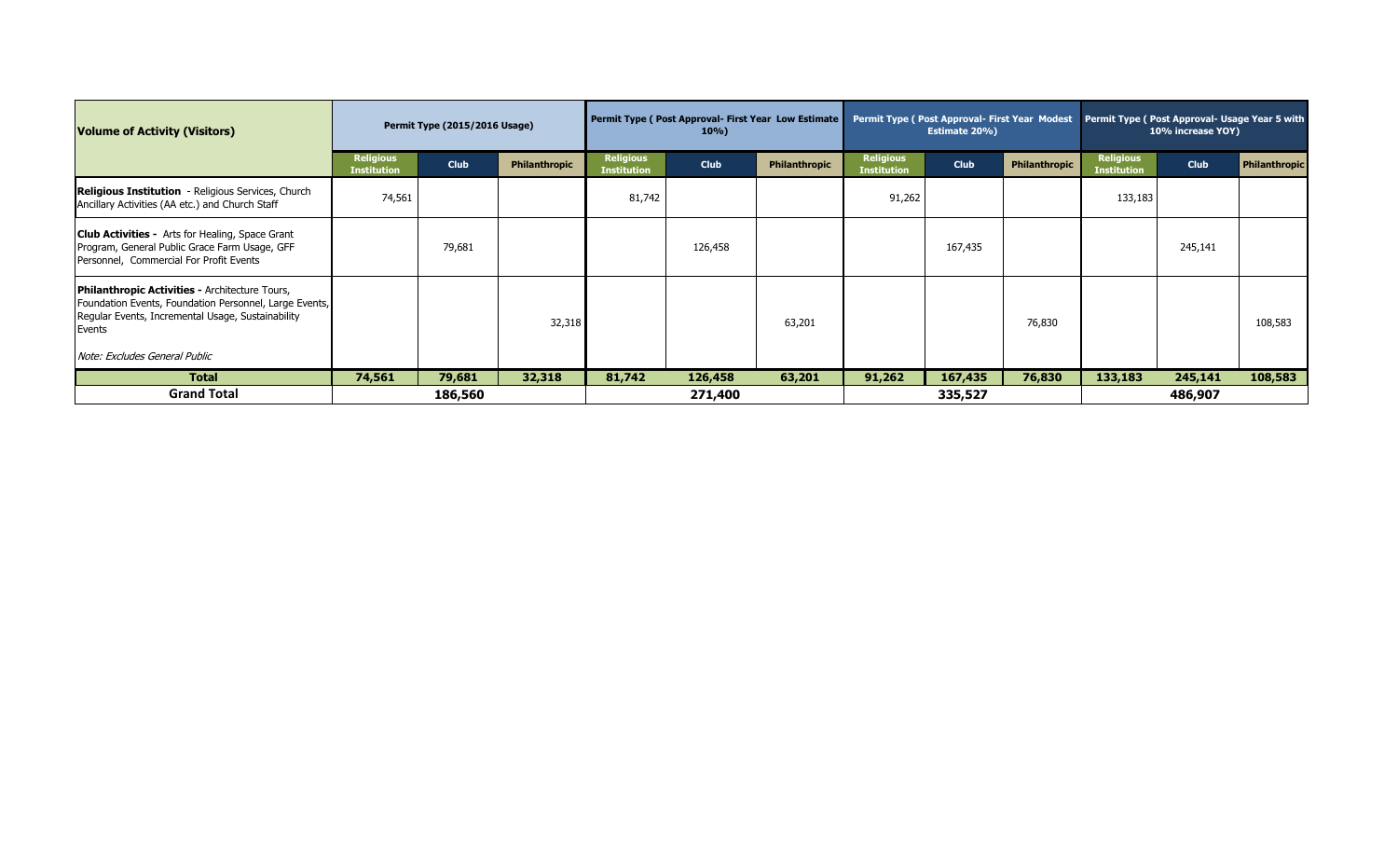| <b>Volume of Activity (Visitors)</b>                                                                                                                                           | Permit Type (2015/2016 Usage)          |             |               | Permit Type (Post Approval- First Year Low Estimate<br>$10\%$ |             |                      |                                        | <b>Estimate 20%)</b> |               | Permit Type ( Post Approval- First Year Modest   Permit Type ( Post Approval- Usage Year 5 with<br>10% increase YOY) |             |                      |
|--------------------------------------------------------------------------------------------------------------------------------------------------------------------------------|----------------------------------------|-------------|---------------|---------------------------------------------------------------|-------------|----------------------|----------------------------------------|----------------------|---------------|----------------------------------------------------------------------------------------------------------------------|-------------|----------------------|
|                                                                                                                                                                                | <b>Religious</b><br><b>Institution</b> | <b>Club</b> | Philanthropic | <b>Religious</b><br><b>Institution</b>                        | <b>Club</b> | <b>Philanthropic</b> | <b>Religious</b><br><b>Institution</b> | <b>Club</b>          | Philanthropic | <b>Religious</b><br>Institution                                                                                      | <b>Club</b> | <b>Philanthropic</b> |
| Religious Institution - Religious Services, Church<br>Ancillary Activities (AA etc.) and Church Staff                                                                          | 74,561                                 |             |               | 81,742                                                        |             |                      | 91,262                                 |                      |               | 133,183                                                                                                              |             |                      |
| <b>Club Activities -</b> Arts for Healing, Space Grant<br>Program, General Public Grace Farm Usage, GFF<br>Personnel, Commercial For Profit Events                             |                                        | 79,681      |               |                                                               | 126,458     |                      |                                        | 167,435              |               |                                                                                                                      | 245,141     |                      |
| <b>Philanthropic Activities - Architecture Tours,</b><br>Foundation Events, Foundation Personnel, Large Events,<br>Regular Events, Incremental Usage, Sustainability<br>Events |                                        |             | 32,318        |                                                               |             | 63,201               |                                        |                      | 76,830        |                                                                                                                      |             | 108,583              |
| Note: Excludes General Public                                                                                                                                                  |                                        |             |               |                                                               |             |                      |                                        |                      |               |                                                                                                                      |             |                      |
| <b>Total</b>                                                                                                                                                                   | 74,561                                 | 79,681      | 32,318        | 81,742                                                        | 126,458     | 63,201               | 91,262                                 | 167,435              | 76,830        | 133,183                                                                                                              | 245,141     | 108,583              |
| <b>Grand Total</b>                                                                                                                                                             |                                        | 186,560     |               |                                                               | 271,400     |                      |                                        | 335,527              |               |                                                                                                                      | 486,907     |                      |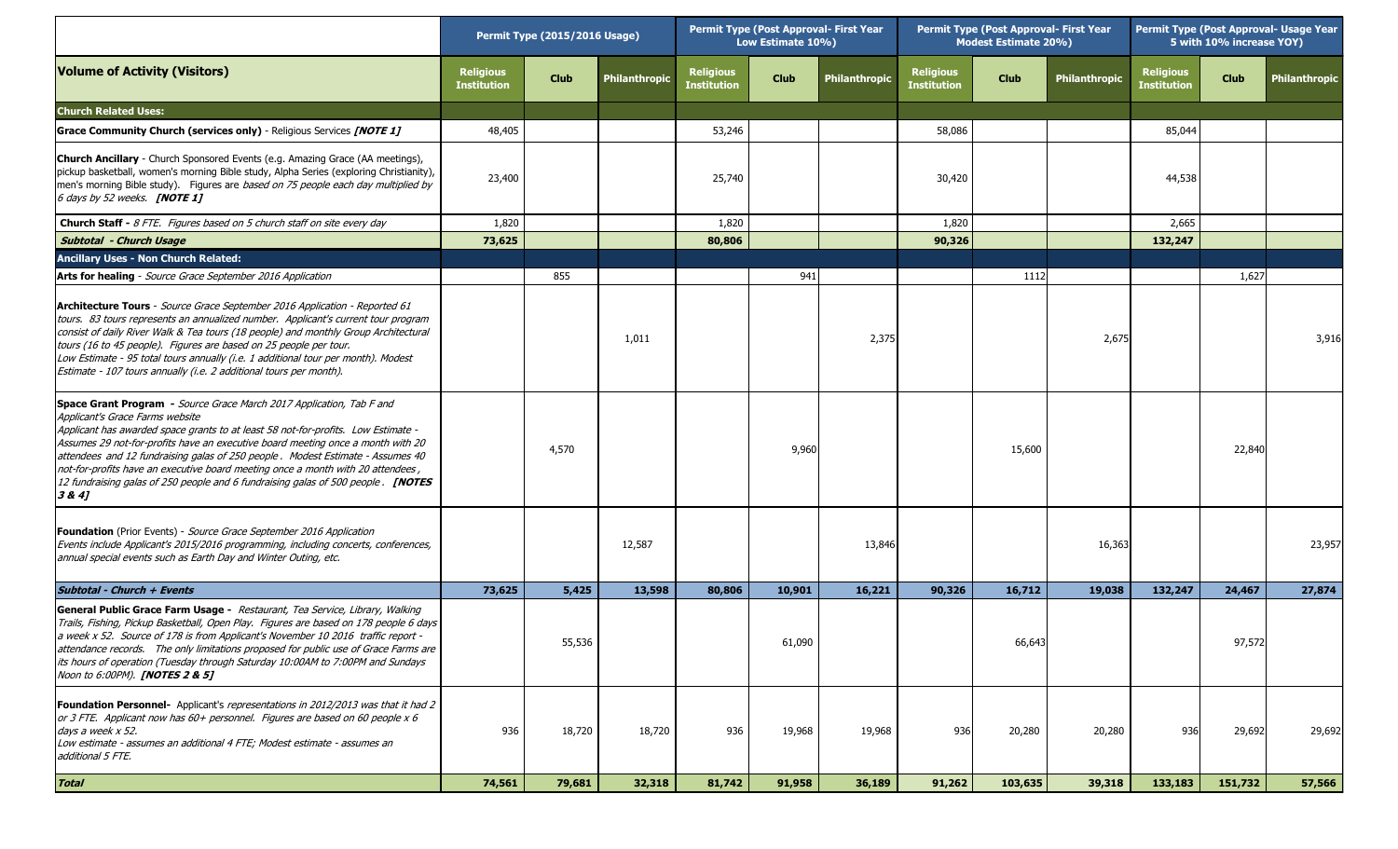|                                                                                                                                                                                                                                                                                                                                                                                                                                                                                                                                                   | Permit Type (2015/2016 Usage)          |             |               | <b>Permit Type (Post Approval- First Year</b><br>Low Estimate 10%) |             |               | <b>Permit Type (Post Approval- First Year</b><br><b>Modest Estimate 20%)</b> |             |                      | Permit Type (Post Approval- Usage Year<br>5 with 10% increase YOY) |             |                      |
|---------------------------------------------------------------------------------------------------------------------------------------------------------------------------------------------------------------------------------------------------------------------------------------------------------------------------------------------------------------------------------------------------------------------------------------------------------------------------------------------------------------------------------------------------|----------------------------------------|-------------|---------------|--------------------------------------------------------------------|-------------|---------------|------------------------------------------------------------------------------|-------------|----------------------|--------------------------------------------------------------------|-------------|----------------------|
| <b>Volume of Activity (Visitors)</b>                                                                                                                                                                                                                                                                                                                                                                                                                                                                                                              | <b>Religious</b><br><b>Institution</b> | <b>Club</b> | Philanthropic | <b>Religious</b><br><b>Institution</b>                             | <b>Club</b> | Philanthropic | <b>Religious</b><br><b>Institution</b>                                       | <b>Club</b> | <b>Philanthropic</b> | <b>Religious</b><br><b>Institution</b>                             | <b>Club</b> | <b>Philanthropic</b> |
| <b>Church Related Uses:</b>                                                                                                                                                                                                                                                                                                                                                                                                                                                                                                                       |                                        |             |               |                                                                    |             |               |                                                                              |             |                      |                                                                    |             |                      |
| <b>Grace Community Church (services only)</b> - Religious Services <i>[NOTE 1]</i>                                                                                                                                                                                                                                                                                                                                                                                                                                                                | 48,405                                 |             |               | 53,246                                                             |             |               | 58,086                                                                       |             |                      | 85,044                                                             |             |                      |
| <b>Church Ancillary</b> - Church Sponsored Events (e.g. Amazing Grace (AA meetings),<br>pickup basketball, women's morning Bible study, Alpha Series (exploring Christianity),<br>men's morning Bible study). Figures are based on 75 people each day multiplied by<br>6 days by 52 weeks. <b>[NOTE 1]</b>                                                                                                                                                                                                                                        | 23,400                                 |             |               | 25,740                                                             |             |               | 30,420                                                                       |             |                      | 44,538                                                             |             |                      |
| <b>Church Staff - 8 FTE.</b> Figures based on 5 church staff on site every day                                                                                                                                                                                                                                                                                                                                                                                                                                                                    | 1,820                                  |             |               | 1,820                                                              |             |               | 1,820                                                                        |             |                      | 2,665                                                              |             |                      |
| <b>Subtotal - Church Usage</b>                                                                                                                                                                                                                                                                                                                                                                                                                                                                                                                    | 73,625                                 |             |               | 80,806                                                             |             |               | 90,326                                                                       |             |                      | 132,247                                                            |             |                      |
| <b>Ancillary Uses - Non Church Related:</b>                                                                                                                                                                                                                                                                                                                                                                                                                                                                                                       |                                        |             |               |                                                                    |             |               |                                                                              |             |                      |                                                                    |             |                      |
| Arts for healing - Source Grace September 2016 Application                                                                                                                                                                                                                                                                                                                                                                                                                                                                                        |                                        | 855         |               |                                                                    | 941         |               |                                                                              | 1112        |                      |                                                                    | 1,627       |                      |
| Architecture Tours - Source Grace September 2016 Application - Reported 61<br>tours. 83 tours represents an annualized number. Applicant's current tour program<br>consist of daily River Walk & Tea tours (18 people) and monthly Group Architectural<br>tours (16 to 45 people). Figures are based on 25 people per tour.<br>Low Estimate - 95 total tours annually (i.e. 1 additional tour per month). Modest<br>Estimate - 107 tours annually (i.e. 2 additional tours per month).                                                            |                                        |             | 1,011         |                                                                    |             | 2,375         |                                                                              |             | 2,675                |                                                                    |             | 3,916                |
| Space Grant Program - Source Grace March 2017 Application, Tab F and<br>Applicant's Grace Farms website<br>Applicant has awarded space grants to at least 58 not-for-profits. Low Estimate -<br>Assumes 29 not-for-profits have an executive board meeting once a month with 20<br>attendees and 12 fundraising galas of 250 people. Modest Estimate - Assumes 40<br>not-for-profits have an executive board meeting once a month with 20 attendees,<br>12 fundraising galas of 250 people and 6 fundraising galas of 500 people. [NOTES<br>3 & 4 |                                        | 4,570       |               |                                                                    | 9,960       |               |                                                                              | 15,600      |                      |                                                                    | 22,840      |                      |
| <b>Foundation</b> (Prior Events) - Source Grace September 2016 Application<br>Events include Applicant's 2015/2016 programming, including concerts, conferences,<br>annual special events such as Earth Day and Winter Outing, etc.                                                                                                                                                                                                                                                                                                               |                                        |             | 12,587        |                                                                    |             | 13,846        |                                                                              |             | 16,363               |                                                                    |             | 23,957               |
| Subtotal - Church + Events                                                                                                                                                                                                                                                                                                                                                                                                                                                                                                                        | 73,625                                 | 5,425       | 13,598        | 80,806                                                             | 10,901      | 16,221        | 90,326                                                                       | 16,712      | 19,038               | 132,247                                                            | 24,467      | 27,874               |
| General Public Grace Farm Usage - Restaurant, Tea Service, Library, Walking<br>Trails, Fishing, Pickup Basketball, Open Play. Figures are based on 178 people 6 days<br>a week x 52. Source of 178 is from Applicant's November 10 2016 traffic report -<br>attendance records. The only limitations proposed for public use of Grace Farms are<br>its hours of operation (Tuesday through Saturday 10:00AM to 7:00PM and Sundays<br>Noon to 6:00PM). [NOTES 2 & 5]                                                                               |                                        | 55,536      |               |                                                                    | 61,090      |               |                                                                              | 66,643      |                      |                                                                    | 97,572      |                      |
| <b>Foundation Personnel-</b> Applicant's representations in 2012/2013 was that it had 2<br>or 3 FTE. Applicant now has 60+ personnel. Figures are based on 60 people x 6<br>days a week x 52.<br>Low estimate - assumes an additional 4 FTE; Modest estimate - assumes an<br>additional 5 FTE.                                                                                                                                                                                                                                                    | 936                                    | 18,720      | 18,720        | 936                                                                | 19,968      | 19,968        | 936                                                                          | 20,280      | 20,280               | 936                                                                | 29,692      | 29,692               |
| <b>Total</b>                                                                                                                                                                                                                                                                                                                                                                                                                                                                                                                                      | 74,561                                 | 79,681      | 32,318        | 81,742                                                             | 91,958      | 36,189        | 91,262                                                                       | 103,635     | 39,318               | 133,183                                                            | 151,732     | 57,566               |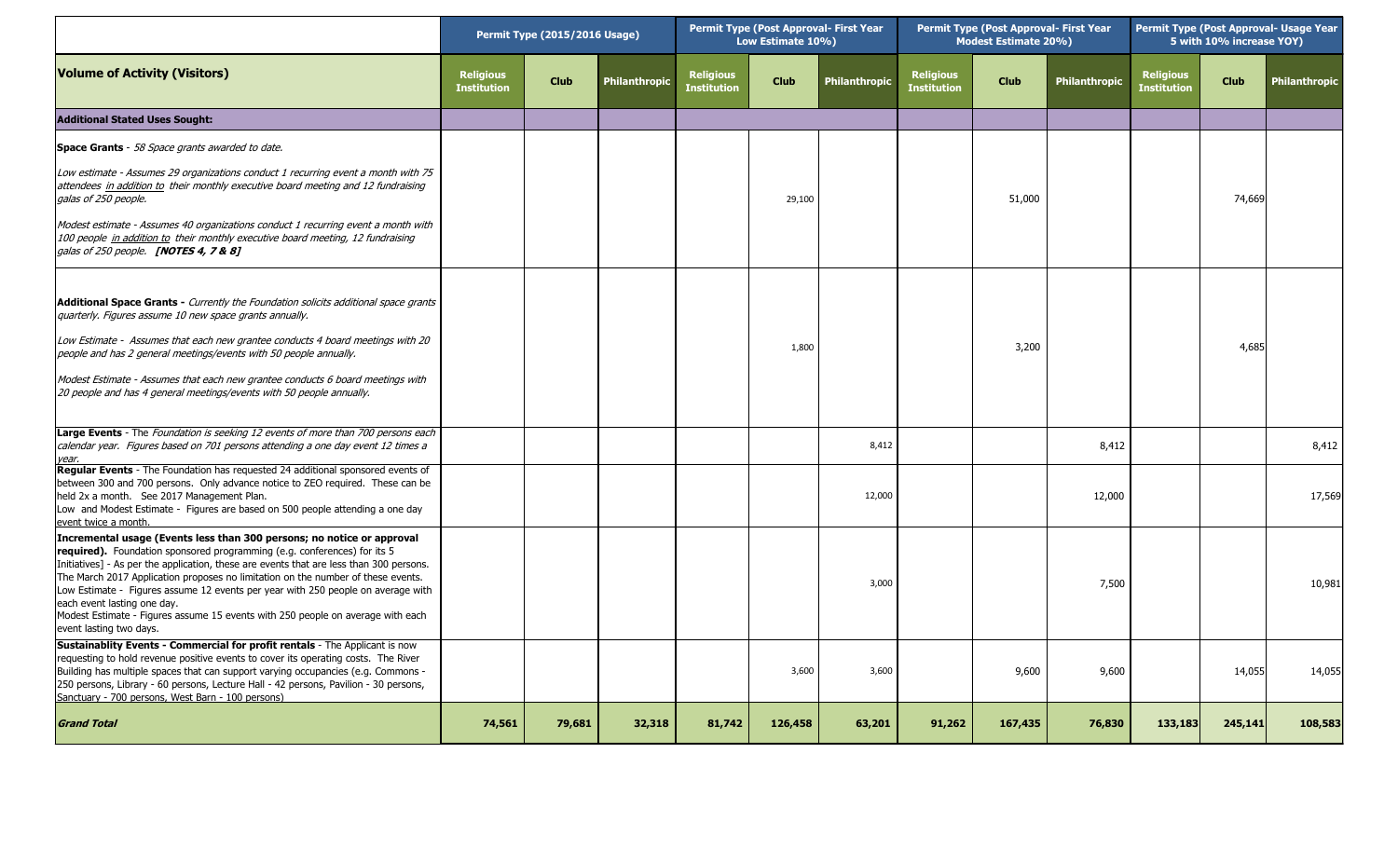|                                                                                                                                                                                                                                                                                                                                                                                                                                                                                                                                                                           | Permit Type (2015/2016 Usage)          |             |               | Permit Type (Post Approval- First Year<br>Low Estimate 10%) |             |                      | <b>Permit Type (Post Approval- First Year</b><br><b>Modest Estimate 20%)</b> |             |                      | Permit Type (Post Approval- Usage Year<br>5 with 10% increase YOY) |             |                      |
|---------------------------------------------------------------------------------------------------------------------------------------------------------------------------------------------------------------------------------------------------------------------------------------------------------------------------------------------------------------------------------------------------------------------------------------------------------------------------------------------------------------------------------------------------------------------------|----------------------------------------|-------------|---------------|-------------------------------------------------------------|-------------|----------------------|------------------------------------------------------------------------------|-------------|----------------------|--------------------------------------------------------------------|-------------|----------------------|
| <b>Volume of Activity (Visitors)</b>                                                                                                                                                                                                                                                                                                                                                                                                                                                                                                                                      | <b>Religious</b><br><b>Institution</b> | <b>Club</b> | Philanthropic | <b>Religious</b><br><b>Institution</b>                      | <b>Club</b> | <b>Philanthropic</b> | <b>Religious</b><br><b>Institution</b>                                       | <b>Club</b> | <b>Philanthropic</b> | <b>Religious</b><br><b>Institution</b>                             | <b>Club</b> | <b>Philanthropic</b> |
| <b>Additional Stated Uses Sought:</b>                                                                                                                                                                                                                                                                                                                                                                                                                                                                                                                                     |                                        |             |               |                                                             |             |                      |                                                                              |             |                      |                                                                    |             |                      |
| <b>Space Grants</b> - 58 Space grants awarded to date.                                                                                                                                                                                                                                                                                                                                                                                                                                                                                                                    |                                        |             |               |                                                             |             |                      |                                                                              |             |                      |                                                                    |             |                      |
| Low estimate - Assumes 29 organizations conduct 1 recurring event a month with 75<br>attendees in addition to their monthly executive board meeting and 12 fundraising<br>galas of 250 people.                                                                                                                                                                                                                                                                                                                                                                            |                                        |             |               |                                                             | 29,100      |                      |                                                                              | 51,000      |                      |                                                                    | 74,669      |                      |
| Modest estimate - Assumes 40 organizations conduct 1 recurring event a month with<br>100 people in addition to their monthly executive board meeting, 12 fundraising<br>galas of 250 people. <b>[NOTES 4, 7 &amp; 8]</b>                                                                                                                                                                                                                                                                                                                                                  |                                        |             |               |                                                             |             |                      |                                                                              |             |                      |                                                                    |             |                      |
| <b>Additional Space Grants - Currently the Foundation solicits additional space grants</b><br>quarterly. Figures assume 10 new space grants annually.                                                                                                                                                                                                                                                                                                                                                                                                                     |                                        |             |               |                                                             |             |                      |                                                                              |             |                      |                                                                    |             |                      |
| Low Estimate - Assumes that each new grantee conducts 4 board meetings with 20<br>people and has 2 general meetings/events with 50 people annually.                                                                                                                                                                                                                                                                                                                                                                                                                       |                                        |             |               |                                                             | 1,800       |                      |                                                                              | 3,200       |                      |                                                                    | 4,685       |                      |
| Modest Estimate - Assumes that each new grantee conducts 6 board meetings with<br>20 people and has 4 general meetings/events with 50 people annually.                                                                                                                                                                                                                                                                                                                                                                                                                    |                                        |             |               |                                                             |             |                      |                                                                              |             |                      |                                                                    |             |                      |
| Large Events - The Foundation is seeking 12 events of more than 700 persons each<br>calendar year. Figures based on 701 persons attending a one day event 12 times a<br>year.                                                                                                                                                                                                                                                                                                                                                                                             |                                        |             |               |                                                             |             | 8,412                |                                                                              |             | 8,412                |                                                                    |             | 8,412                |
| Regular Events - The Foundation has requested 24 additional sponsored events of<br>between 300 and 700 persons. Only advance notice to ZEO required. These can be<br>held 2x a month. See 2017 Management Plan.<br>Low and Modest Estimate - Figures are based on 500 people attending a one day<br>event twice a month.                                                                                                                                                                                                                                                  |                                        |             |               |                                                             |             | 12,000               |                                                                              |             | 12,000               |                                                                    |             | 17,569               |
| Incremental usage (Events less than 300 persons; no notice or approval<br><b>required).</b> Foundation sponsored programming (e.g. conferences) for its 5<br>Initiatives] - As per the application, these are events that are less than 300 persons.<br>The March 2017 Application proposes no limitation on the number of these events.<br>Low Estimate - Figures assume 12 events per year with 250 people on average with<br>each event lasting one day.<br>Modest Estimate - Figures assume 15 events with 250 people on average with each<br>event lasting two days. |                                        |             |               |                                                             |             | 3,000                |                                                                              |             | 7,500                |                                                                    |             | 10,981               |
| Sustainablity Events - Commercial for profit rentals - The Applicant is now<br>requesting to hold revenue positive events to cover its operating costs. The River<br>Building has multiple spaces that can support varying occupancies (e.g. Commons -<br>250 persons, Library - 60 persons, Lecture Hall - 42 persons, Pavilion - 30 persons,<br>Sanctuary - 700 persons, West Barn - 100 persons)                                                                                                                                                                       |                                        |             |               |                                                             | 3,600       | 3,600                |                                                                              | 9,600       | 9,600                |                                                                    | 14,055      | 14,055               |
| <b>Grand Total</b>                                                                                                                                                                                                                                                                                                                                                                                                                                                                                                                                                        | 74,561                                 | 79,681      | 32,318        | 81,742                                                      | 126,458     | 63,201               | 91,262                                                                       | 167,435     | 76,830               | 133,183                                                            | 245,141     | 108,583              |